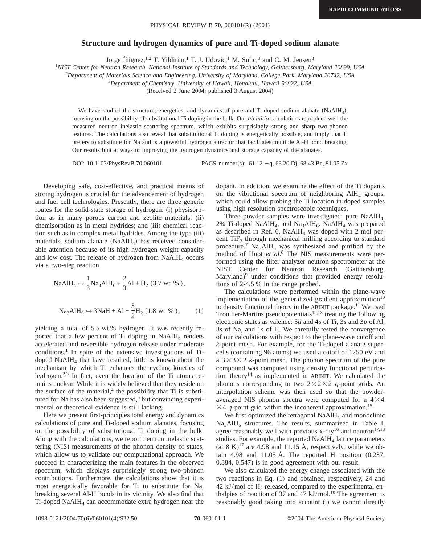## **Structure and hydrogen dynamics of pure and Ti-doped sodium alanate**

Jorge Íñiguez, <sup>1,2</sup> T. Yildirim,<sup>1</sup> T. J. Udovic,<sup>1</sup> M. Sulic,<sup>3</sup> and C. M. Jensen<sup>3</sup>

<sup>1</sup>*NIST Center for Neutron Research, National Institute of Standards and Technology, Gaithersburg, Maryland 20899, USA*

2 *Department of Materials Science and Engineering, University of Maryland, College Park, Maryland 20742, USA*

3 *Department of Chemistry, University of Hawaii, Honolulu, Hawaii 96822, USA*

(Received 2 June 2004; published 3 August 2004)

We have studied the structure, energetics, and dynamics of pure and Ti-doped sodium alanate (NaAlH<sub>4</sub>), focusing on the possibility of substitutional Ti doping in the bulk. Our *ab initio* calculations reproduce well the measured neutron inelastic scattering spectrum, which exhibits surprisingly strong and sharp two-phonon features. The calculations also reveal that substitutional Ti doping is energetically possible, and imply that Ti prefers to substitute for Na and is a powerful hydrogen attractor that facilitates multiple Al-H bond breaking. Our results hint at ways of improving the hydrogen dynamics and storage capacity of the alanates.

DOI: 10.1103/PhysRevB.70.060101 PACS number(s): 61.12. - q, 63.20.Dj, 68.43.Bc, 81.05.Zx

Developing safe, cost-effective, and practical means of storing hydrogen is crucial for the advancement of hydrogen and fuel cell technologies. Presently, there are three generic routes for the solid-state storage of hydrogen: (i) physisorption as in many porous carbon and zeolite materials; (ii) chemisorption as in metal hydrides; and (iii) chemical reaction such as in complex metal hydrides. Among the type (iii) materials, sodium alanate  $(NaA1H<sub>4</sub>)$  has received considerable attention because of its high hydrogen weight capacity and low cost. The release of hydrogen from  $NAAH<sub>4</sub>$  occurs via a two-step reaction

NaAlH<sub>4</sub> ↔ 
$$
\frac{1}{3}
$$
Na<sub>3</sub>AlH<sub>6</sub> +  $\frac{2}{3}$ Al + H<sub>2</sub> (3.7 wt %),  
Na<sub>3</sub>AlH<sub>6</sub> ↔ 3NaH + Al +  $\frac{3}{2}$ H<sub>2</sub> (1.8 wt %), (1)

yielding a total of 5.5 wt % hydrogen. It was recently reported that a few percent of Ti doping in NaAlH<sub>4</sub> renders accelerated and reversible hydrogen release under moderate conditions.1 In spite of the extensive investigations of Tidoped  $NAAH<sub>4</sub>$  that have resulted, little is known about the mechanism by which Ti enhances the cycling kinetics of hydrogen.<sup>2,3</sup> In fact, even the location of the Ti atoms remains unclear. While it is widely believed that they reside on the surface of the material, $4$  the possibility that Ti is substituted for Na has also been suggested, $5$  but convincing experimental or theoretical evidence is still lacking.

Here we present first-principles total energy and dynamics calculations of pure and Ti-doped sodium alanates, focusing on the possibility of substitutional Ti doping in the bulk. Along with the calculations, we report neutron inelastic scattering (NIS) measurements of the phonon density of states, which allow us to validate our computational approach. We succeed in characterizing the main features in the observed spectrum, which displays surprisingly strong two-phonon contributions. Furthermore, the calculations show that it is most energetically favorable for Ti to substitute for Na, breaking several Al-H bonds in its vicinity. We also find that Ti-doped  $NAAH<sub>4</sub>$  can accommodate extra hydrogen near the dopant. In addition, we examine the effect of the Ti dopants on the vibrational spectrum of neighboring  $\text{AlH}_4$  groups, which could allow probing the Ti location in doped samples using high resolution spectroscopic techniques.

Three powder samples were investigated: pure  $NAAH<sub>4</sub>$ , 2% Ti-doped NaAlH<sub>4</sub>, and Na<sub>3</sub>AlH<sub>6</sub>. NaAlH<sub>4</sub> was prepared as described in Ref. 6. NaAl $H_4$  was doped with 2 mol percent  $\text{TiF}_3$  through mechanical milling according to standard procedure.<sup>7</sup> Na<sub>3</sub>AlH<sub>6</sub> was synthesized and purified by the method of Huot *et al.*<sup>8</sup> The NIS measurements were performed using the filter analyzer neutron spectrometer at the NIST Center for Neutron Research (Gaithersburg, Maryland)<sup>9</sup> under conditions that provided energy resolutions of 2-4.5 % in the range probed.

The calculations were performed within the plane-wave implementation of the generalized gradient approximation<sup>10</sup> to density functional theory in the ABINIT package.<sup>11</sup> We used Troullier-Martins pseudopotentials<sup>12,13</sup> treating the following electronic states as valence: 3*d* and 4*s* of Ti, 3*s* and 3*p* of Al, 3*s* of Na, and 1*s* of H. We carefully tested the convergence of our calculations with respect to the plane-wave cutoff and *k*-point mesh. For example, for the Ti-doped alanate supercells (containing 96 atoms) we used a cutoff of 1250 eV and a  $3 \times 3 \times 2$  *k*-point mesh. The phonon spectrum of the pure compound was computed using density functional perturbation theory<sup>14</sup> as implemented in ABINIT. We calculated the phonons corresponding to two  $2\times2\times2$  *q*-point grids. An interpolation scheme was then used so that the powderaveraged NIS phonon spectra were computed for a  $4 \times 4$  $\times$  4 *q*-point grid within the incoherent approximation.<sup>15</sup>

We first optimized the tetragonal  $NaAlH<sub>4</sub>$  and monoclinic  $Na<sub>3</sub>AIH<sub>6</sub>$  structures. The results, summarized in Table I, agree reasonably well with previous  $x-ray^{16}$  and neutron<sup>17,18</sup> studies. For example, the reported  $NAAH<sub>4</sub>$  lattice parameters (at 8 K)<sup>17</sup> are 4.98 and 11.15 Å, respectively, while we obtain 4.98 and 11.05 Å. The reported H position (0.237, 0.384, 0.547) is in good agreement with our result.

We also calculated the energy change associated with the two reactions in Eq. (1) and obtained, respectively, 24 and  $42$  kJ/mol of  $H<sub>2</sub>$  released, compared to the experimental enthalpies of reaction of 37 and 47  $kJ/mol$ .<sup>19</sup> The agreement is reasonably good taking into account (i) we cannot directly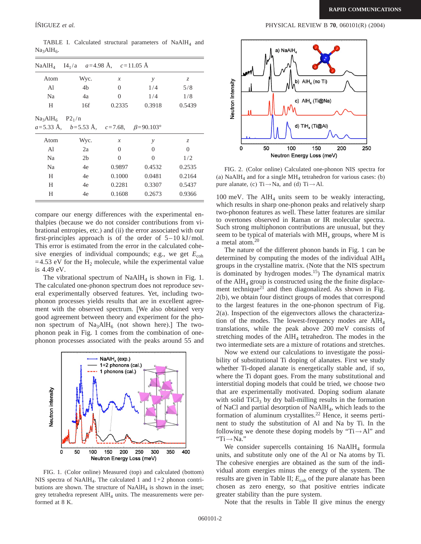TABLE I. Calculated structural parameters of  $NAAH<sub>4</sub>$  and  $Na<sub>3</sub>AIH<sub>6</sub>$ .

|                              | NaAlH <sub>4</sub> I4 <sub>1</sub> /a $a=4.98 \text{ Å}$ , $c=11.05 \text{ Å}$       |               |               |        |
|------------------------------|--------------------------------------------------------------------------------------|---------------|---------------|--------|
| Atom                         | Wyc.                                                                                 | $\mathcal{X}$ | $\mathcal{Y}$ | Z.     |
| Al                           | 4b                                                                                   | 0             | 1/4           | 5/8    |
| Na                           | 4a                                                                                   | 0             | 1/4           | 1/8    |
| H                            | 16f                                                                                  | 0.2335        | 0.3918        | 0.5439 |
| $Na3AIH6$ P2 <sub>1</sub> /n |                                                                                      |               |               |        |
|                              | $a=5.33 \text{ Å}, \quad b=5.53 \text{ Å}, \quad c=7.68, \quad \beta=90.103^{\circ}$ |               |               |        |
| Atom                         | Wyc.                                                                                 | $\mathcal{X}$ | y             | Z.     |
| Al                           | 2a                                                                                   | 0             | 0             | 0      |
| Na                           | 2 <sub>b</sub>                                                                       | $\Omega$      | $\Omega$      | 1/2    |
| Na                           | 4e                                                                                   | 0.9897        | 0.4532        | 0.2535 |
| H                            | 4e                                                                                   | 0.1000        | 0.0481        | 0.2164 |
| H                            | 4e                                                                                   | 0.2281        | 0.3307        | 0.5437 |
| H                            | 4e                                                                                   | 0.1608        | 0.2673        | 0.9366 |

compare our energy differences with the experimental enthalpies (because we do not consider contributions from vibrational entropies, etc.) and (ii) the error associated with our first-principles approach is of the order of  $5-10 \text{ kJ/mol}$ . This error is estimated from the error in the calculated cohesive energies of individual compounds; e.g., we get  $E_{coh}$ =4.53 eV for the  $H_2$  molecule, while the experimental value is 4.49 eV.

The vibrational spectrum of  $NaAH<sub>4</sub>$  is shown in Fig. 1. The calculated one-phonon spectrum does not reproduce several experimentally observed features. Yet, including twophonon processes yields results that are in excellent agreement with the observed spectrum. [We also obtained very good agreement between theory and experiment for the phonon spectrum of  $Na<sub>3</sub>AIH<sub>6</sub>$  (not shown here).] The twophonon peak in Fig. 1 comes from the combination of onephonon processes associated with the peaks around 55 and



FIG. 1. (Color online) Measured (top) and calculated (bottom) NIS spectra of NaAlH<sub>4</sub>. The calculated 1 and  $1+2$  phonon contributions are shown. The structure of  $NAAH<sub>4</sub>$  is shown in the inset; grey tetrahedra represent  $AH_4$  units. The measurements were performed at 8 K.



FIG. 2. (Color online) Calculated one-phonon NIS spectra for (a)  $NaAlH<sub>4</sub>$  and for a single  $MH<sub>4</sub>$  tetrahedron for various cases: (b) pure alanate, (c)  $Ti \rightarrow Na$ , and (d)  $Ti \rightarrow Al$ .

100 meV. The  $\text{AlH}_4$  units seem to be weakly interacting, which results in sharp one-phonon peaks and relatively sharp two-phonon features as well. These latter features are similar to overtones observed in Raman or IR molecular spectra. Such strong multiphonon contributions are unusual, but they seem to be typical of materials with MH*<sup>x</sup>* groups, where M is a metal atom.20

The nature of the different phonon bands in Fig. 1 can be determined by computing the modes of the individual AlH4 groups in the crystalline matrix. (Note that the NIS spectrum is dominated by hydrogen modes.<sup>15</sup>) The dynamical matrix of the  $AH<sub>4</sub>$  group is constructed using the the finite displacement technique<sup>21</sup> and then diagonalized. As shown in Fig. 2(b), we obtain four distinct groups of modes that correspond to the largest features in the one-phonon spectrum of Fig. 2(a). Inspection of the eigenvectors allows the characterization of the modes. The lowest-frequency modes are  $\text{AlH}_4$ translations, while the peak above 200 meV consists of stretching modes of the  $\text{AlH}_4$  tetrahedron. The modes in the two intermediate sets are a mixture of rotations and stretches.

Now we extend our calculations to investigate the possibility of substitutional Ti doping of alanates. First we study whether Ti-doped alanate is energetically stable and, if so, where the Ti dopant goes. From the many substitutional and interstitial doping models that could be tried, we choose two that are experimentally motivated. Doping sodium alanate with solid  $TiCl<sub>3</sub>$  by dry ball-milling results in the formation of NaCl and partial desorption of NaAlH<sub>4</sub>, which leads to the formation of aluminum crystallites.<sup>22</sup> Hence, it seems pertinent to study the substitution of Al and Na by Ti. In the following we denote these doping models by "Ti $\rightarrow$ Al" and "Ti→Na."

We consider supercells containing  $16$  NaAlH<sub>4</sub> formula units, and substitute only one of the Al or Na atoms by Ti. The cohesive energies are obtained as the sum of the individual atom energies minus the energy of the system. The results are given in Table II;  $E_{coh}$  of the pure alanate has been chosen as zero energy, so that positive entries indicate greater stability than the pure system.

Note that the results in Table II give minus the energy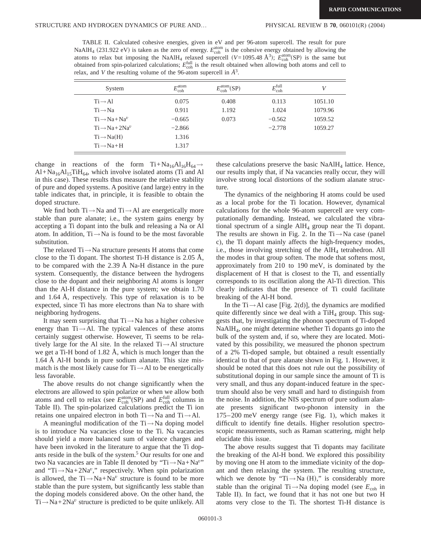TABLE II. Calculated cohesive energies, given in eV and per 96-atom supercell. The result for pure NaAlH<sub>4</sub> (231.922 eV) is taken as the zero of energy.  $E_{\text{coh}}^{\text{atom}}$  is the cohesive energy obtained by allowing the atoms to relax but imposing the NaAlH<sub>4</sub> relaxed supercell ( $V=1095.48 \text{ Å}^3$ );  $E_{\text{coh}}^{\text{atom}}(\text{SP})$  is the same but obtained from spin-polarized calculations;  $E_{\text{coh}}^{\text{full}}$  is the result obtained when allowing both atoms and cell to relax, and *V* the resulting volume of the 96-atom supercell in *Å*3.

| System                      | $E_{\rm coh}^{\rm atom}$ | $E_{\rm coh}^{\rm atom}$ (SP) | $E_{\rm coh}^{\rm full}$ | V       |
|-----------------------------|--------------------------|-------------------------------|--------------------------|---------|
| $Ti \rightarrow AI$         | 0.075                    | 0.408                         | 0.113                    | 1051.10 |
| $Ti \rightarrow Na$         | 0.911                    | 1.192                         | 1.024                    | 1079.96 |
| $Ti \rightarrow Na + Na^v$  | $-0.665$                 | 0.073                         | $-0.562$                 | 1059.52 |
| $Ti \rightarrow Na + 2Na^v$ | $-2.866$                 |                               | $-2.778$                 | 1059.27 |
| $Ti \rightarrow Na(H)$      | 1.316                    |                               |                          |         |
| $Ti \rightarrow Na + H$     | 1.317                    |                               |                          |         |

change in reactions of the form Ti+Na<sub>16</sub>Al<sub>16</sub>H<sub>64</sub> $\rightarrow$  $Al+Na<sub>16</sub>Al<sub>15</sub>TiH<sub>64</sub>$ , which involve isolated atoms (Ti and Al in this case). These results thus measure the relative stability of pure and doped systems. A positive (and large) entry in the table indicates that, in principle, it is feasible to obtain the doped structure.

We find both  $Ti \rightarrow Na$  and  $Ti \rightarrow Al$  are energetically more stable than pure alanate; i.e., the system gains energy by accepting a Ti dopant into the bulk and releasing a Na or Al atom. In addition,  $Ti \rightarrow Na$  is found to be the most favorable substitution.

The relaxed  $Ti \rightarrow Na$  structure presents H atoms that come close to the Ti dopant. The shortest Ti-H distance is 2.05 Å, to be compared with the 2.39 Å Na-H distance in the pure system. Consequently, the distance between the hydrogens close to the dopant and their neighboring Al atoms is longer than the Al-H distance in the pure system; we obtain 1.70 and 1.64 Å, respectively. This type of relaxation is to be expected, since Ti has more electrons than Na to share with neighboring hydrogens.

It may seem surprising that Ti→Na has a higher cohesive energy than Ti→Al. The typical valences of these atoms certainly suggest otherwise. However, Ti seems to be relatively large for the Al site. In the relaxed  $Ti \rightarrow AI$  structure we get a Ti-H bond of 1.82 Å, which is much longer than the 1.64 Å Al-H bonds in pure sodium alanate. This size mismatch is the most likely cause for  $Ti \rightarrow AI$  to be energetically less favorable.

The above results do not change significantly when the electrons are allowed to spin polarize or when we allow both atoms and cell to relax (see  $E_{\text{coh}}^{\text{atom}}(\text{SP})$  and  $E_{\text{coh}}^{\text{full}}$  columns in Table II). The spin-polarized calculations predict the Ti ion retains one unpaired electron in both  $Ti \rightarrow Na$  and  $Ti \rightarrow Al$ .

A meaningful modification of the  $Ti \rightarrow Na$  doping model is to introduce Na vacancies close to the Ti. Na vacancies should yield a more balanced sum of valence charges and have been invoked in the literature to argue that the Ti dopants reside in the bulk of the system.5 Our results for one and two Na vacancies are in Table II denoted by "Ti→Na+Na*<sup>v</sup>*" and "Ti→Na+2Na*<sup>v</sup>*," respectively. When spin polarization is allowed, the  $Ti \rightarrow Na + Na^v$  structure is found to be more stable than the pure system, but significantly less stable than the doping models considered above. On the other hand, the Ti→Na+2Na*<sup>v</sup>* structure is predicted to be quite unlikely. All these calculations preserve the basic  $N\alpha A I H_4$  lattice. Hence, our results imply that, if Na vacancies really occur, they will involve strong local distortions of the sodium alanate structure.

The dynamics of the neighboring H atoms could be used as a local probe for the Ti location. However, dynamical calculations for the whole 96-atom supercell are very computationally demanding. Instead, we calculated the vibrational spectrum of a single  $\text{AlH}_4$  group near the Ti dopant. The results are shown in Fig. 2. In the Ti $\rightarrow$ Na case (panel c), the Ti dopant mainly affects the high-frequency modes, i.e., those involving stretching of the  $\text{AlH}_4$  tetrahedron. All the modes in that group soften. The mode that softens most, approximately from 210 to 190 meV, is dominated by the displacement of H that is closest to the Ti, and essentially corresponds to its oscillation along the Al-Ti direction. This clearly indicates that the presence of Ti could facilitate breaking of the Al-H bond.

In the Ti $\rightarrow$ Al case [Fig. 2(d)], the dynamics are modified quite differently since we deal with a  $TiH<sub>4</sub>$  group. This suggests that, by investigating the phonon spectrum of Ti-doped NaAlH4, one might determine whether Ti dopants go into the bulk of the system and, if so, where they are located. Motivated by this possibility, we measured the phonon spectrum of a 2% Ti-doped sample, but obtained a result essentially identical to that of pure alanate shown in Fig. 1. However, it should be noted that this does not rule out the possibility of substitutional doping in our sample since the amount of Ti is very small, and thus any dopant-induced feature in the spectrum should also be very small and hard to distinguish from the noise. In addition, the NIS spectrum of pure sodium alanate presents significant two-phonon intensity in the 175–200 meV energy range (see Fig. 1), which makes it difficult to identify fine details. Higher resolution spectroscopic measurements, such as Raman scattering, might help elucidate this issue.

The above results suggest that Ti dopants may facilitate the breaking of the Al-H bond. We explored this possibility by moving one H atom to the immediate vicinity of the dopant and then relaxing the system. The resulting structure, which we denote by "Ti $\rightarrow$ Na (H)," is considerably more stable than the original Ti $\rightarrow$ Na doping model (see  $E_{coh}$  in Table II). In fact, we found that it has not one but two H atoms very close to the Ti. The shortest Ti-H distance is